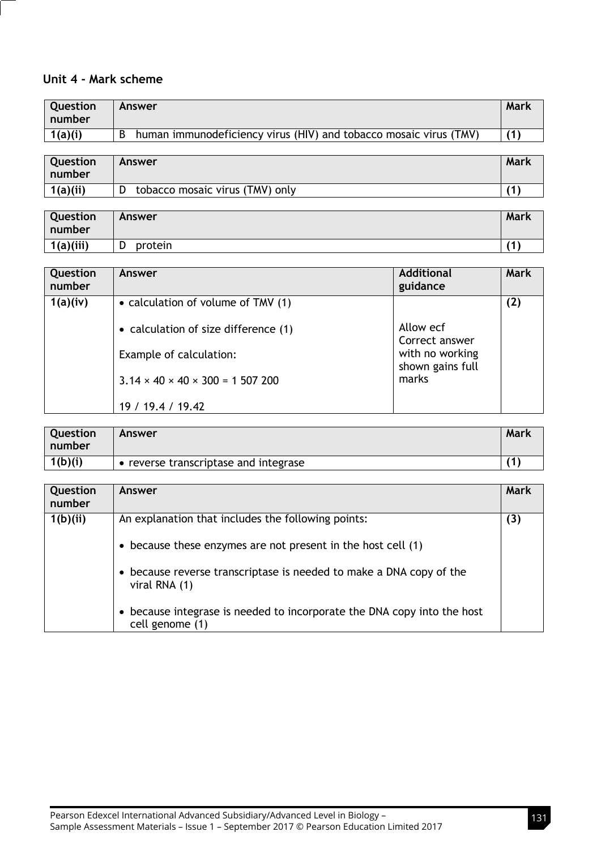## **Unit 4 - Mark scheme**

| l number                                                                     |                |
|------------------------------------------------------------------------------|----------------|
| 1(a)(i)<br>human immunodeficiency virus (HIV) and tobacco mosaic virus (TMV) | $\overline{1}$ |

| Question | Answer                          | Mark |
|----------|---------------------------------|------|
| l number |                                 |      |
| 1(a)(ii) | tobacco mosaic virus (TMV) only | 74   |

| Question<br>l number | <b>Answer</b> | Mark |
|----------------------|---------------|------|
| 1(a)(iii)            | protein<br>ש  | 74   |

| Question<br>number | Answer                                          | <b>Additional</b><br>guidance       | Mark |
|--------------------|-------------------------------------------------|-------------------------------------|------|
| 1(a)(iv)           | • calculation of volume of TMV (1)              |                                     | (2)  |
|                    | • calculation of size difference (1)            | Allow ecf<br>Correct answer         |      |
|                    | Example of calculation:                         | with no working<br>shown gains full |      |
|                    | $3.14 \times 40 \times 40 \times 300 = 1507200$ | marks                               |      |
|                    | 19 / 19.4 / 19.42                               |                                     |      |

| <b>Question</b><br>l number | Answer                                | <b>Mark</b> |
|-----------------------------|---------------------------------------|-------------|
| 1(b)(i)                     | • reverse transcriptase and integrase | 74          |

| Question<br>number | Answer                                                                                     | <b>Mark</b> |
|--------------------|--------------------------------------------------------------------------------------------|-------------|
| 1(b)(ii)           | An explanation that includes the following points:                                         | (3)         |
|                    | • because these enzymes are not present in the host cell $(1)$                             |             |
|                    | • because reverse transcriptase is needed to make a DNA copy of the<br>viral RNA (1)       |             |
|                    | • because integrase is needed to incorporate the DNA copy into the host<br>cell genome (1) |             |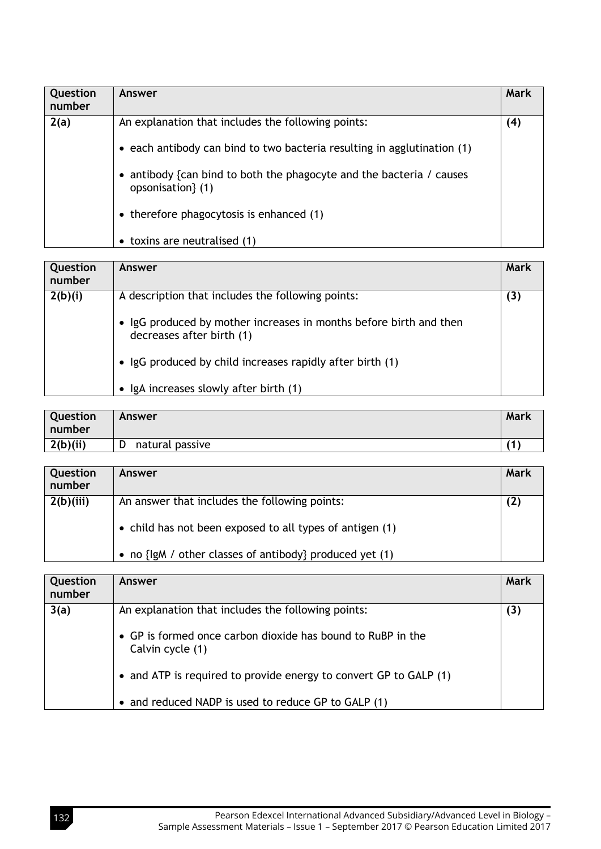| Question<br>number | Answer                                                                                                                          | Mark |
|--------------------|---------------------------------------------------------------------------------------------------------------------------------|------|
| 2(a)               | An explanation that includes the following points:<br>• each antibody can bind to two bacteria resulting in agglutination $(1)$ | (4)  |
|                    | • antibody {can bind to both the phagocyte and the bacteria / causes<br>opsonisation { (1)                                      |      |
|                    | • therefore phagocytosis is enhanced (1)                                                                                        |      |
|                    | toxins are neutralised (1)<br>$\bullet$                                                                                         |      |

| Question<br>number | Answer                                                                                          | Mark |
|--------------------|-------------------------------------------------------------------------------------------------|------|
| 2(b)(i)            | A description that includes the following points:                                               | (3)  |
|                    | • IgG produced by mother increases in months before birth and then<br>decreases after birth (1) |      |
|                    | • IgG produced by child increases rapidly after birth (1)                                       |      |
|                    | IgA increases slowly after birth (1)                                                            |      |

| Question<br>l number | Answer          | <b>Mark</b> |
|----------------------|-----------------|-------------|
| 2(b)(ii)             | natural passive | $\sqrt{4}$  |

| Question<br>number | Answer                                                    | Mark |
|--------------------|-----------------------------------------------------------|------|
| 2(b)(iii)          | An answer that includes the following points:             | (2)  |
|                    | • child has not been exposed to all types of antigen (1)  |      |
|                    | • no $\{lgM /$ other classes of antibody produced yet (1) |      |

| Question<br>number | Answer                                                                          | Mark |
|--------------------|---------------------------------------------------------------------------------|------|
| 3(a)               | An explanation that includes the following points:                              | (3)  |
|                    | • GP is formed once carbon dioxide has bound to RuBP in the<br>Calvin cycle (1) |      |
|                    | • and ATP is required to provide energy to convert GP to GALP (1)               |      |
|                    | • and reduced NADP is used to reduce GP to GALP (1)                             |      |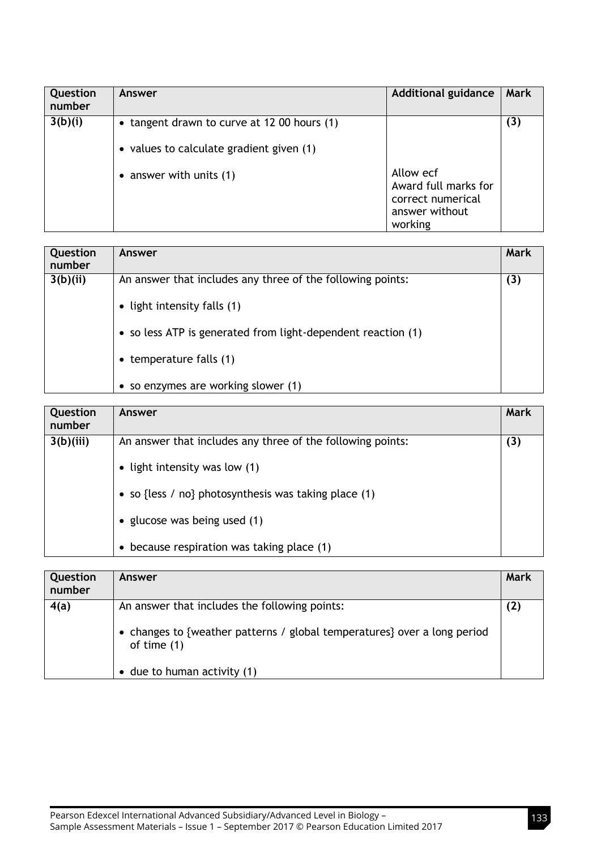| Question<br>number | Answer                                                                                  | <b>Additional guidance</b>                                                          | <b>Mark</b> |
|--------------------|-----------------------------------------------------------------------------------------|-------------------------------------------------------------------------------------|-------------|
| 3(b)(i)            | • tangent drawn to curve at 12 00 hours (1)<br>• values to calculate gradient given (1) |                                                                                     | (3)         |
|                    | • answer with units $(1)$                                                               | Allow ecf<br>Award full marks for<br>correct numerical<br>answer without<br>working |             |

| Question<br>number | Answer                                                       | Mark |
|--------------------|--------------------------------------------------------------|------|
| 3(b)(ii)           | An answer that includes any three of the following points:   | (3)  |
|                    | • light intensity falls $(1)$                                |      |
|                    | • so less ATP is generated from light-dependent reaction (1) |      |
|                    | $\bullet$ temperature falls (1)                              |      |
|                    | • so enzymes are working slower (1)                          |      |

| Question<br>number | Answer                                                     | Mark |
|--------------------|------------------------------------------------------------|------|
| 3(b)(iii)          | An answer that includes any three of the following points: | (3)  |
|                    | • light intensity was low $(1)$                            |      |
|                    | • so {less / no} photosynthesis was taking place $(1)$     |      |
|                    | • glucose was being used (1)                               |      |
|                    | because respiration was taking place (1)<br>$\bullet$      |      |

| Question<br>number | Answer                                                                                                                                                                            | Mark |
|--------------------|-----------------------------------------------------------------------------------------------------------------------------------------------------------------------------------|------|
| 4(a)               | An answer that includes the following points:<br>• changes to {weather patterns / global temperatures} over a long period<br>of time $(1)$<br>$\bullet$ due to human activity (1) | (2)  |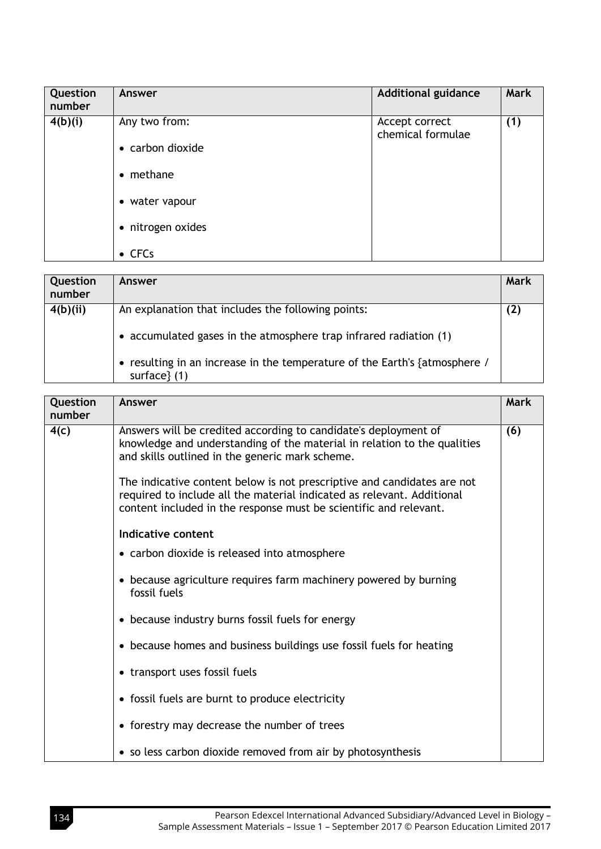| Question<br>number | Answer               | <b>Additional guidance</b>          | <b>Mark</b> |
|--------------------|----------------------|-------------------------------------|-------------|
| 4(b)(i)            | Any two from:        | Accept correct<br>chemical formulae | (1)         |
|                    | • carbon dioxide     |                                     |             |
|                    | methane<br>$\bullet$ |                                     |             |
|                    | • water vapour       |                                     |             |
|                    | • nitrogen oxides    |                                     |             |
|                    | $\bullet$ CFCs       |                                     |             |

| Question<br>number | Answer                                                                                                                                                                                                                 | Mark |
|--------------------|------------------------------------------------------------------------------------------------------------------------------------------------------------------------------------------------------------------------|------|
| 4(b)(ii)           | An explanation that includes the following points:<br>• accumulated gases in the atmosphere trap infrared radiation (1)<br>• resulting in an increase in the temperature of the Earth's {atmosphere /<br>surface $(1)$ | (2)  |

| Question<br>number | Answer                                                                                                                                                                                                                                                                    | <b>Mark</b> |
|--------------------|---------------------------------------------------------------------------------------------------------------------------------------------------------------------------------------------------------------------------------------------------------------------------|-------------|
| 4(c)               | Answers will be credited according to candidate's deployment of<br>knowledge and understanding of the material in relation to the qualities<br>and skills outlined in the generic mark scheme.<br>The indicative content below is not prescriptive and candidates are not | (6)         |
|                    | required to include all the material indicated as relevant. Additional<br>content included in the response must be scientific and relevant.                                                                                                                               |             |
|                    | Indicative content                                                                                                                                                                                                                                                        |             |
|                    | • carbon dioxide is released into atmosphere                                                                                                                                                                                                                              |             |
|                    | • because agriculture requires farm machinery powered by burning<br>fossil fuels                                                                                                                                                                                          |             |
|                    | • because industry burns fossil fuels for energy                                                                                                                                                                                                                          |             |
|                    | • because homes and business buildings use fossil fuels for heating                                                                                                                                                                                                       |             |
|                    | • transport uses fossil fuels                                                                                                                                                                                                                                             |             |
|                    | • fossil fuels are burnt to produce electricity                                                                                                                                                                                                                           |             |
|                    | • forestry may decrease the number of trees                                                                                                                                                                                                                               |             |
|                    | • so less carbon dioxide removed from air by photosynthesis                                                                                                                                                                                                               |             |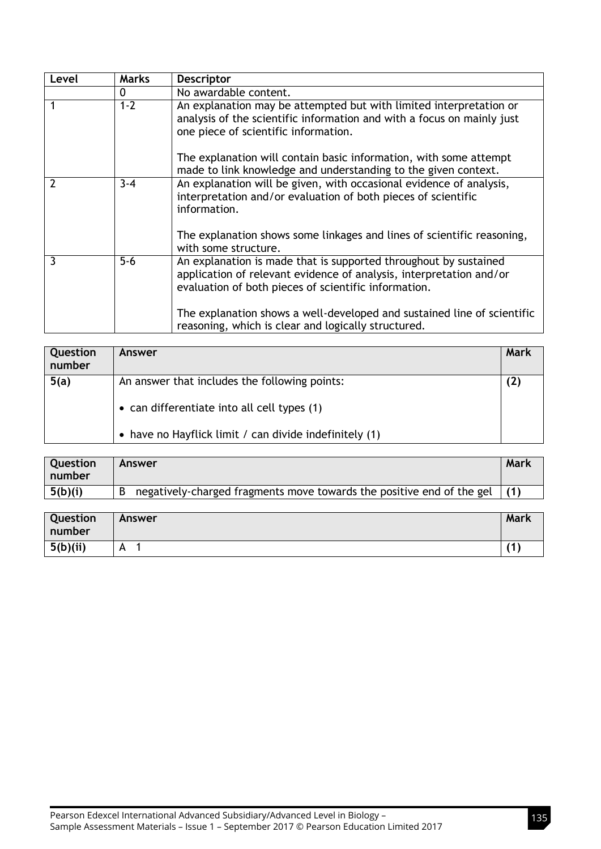| Level | <b>Marks</b> | <b>Descriptor</b>                                                                                                                                                                               |
|-------|--------------|-------------------------------------------------------------------------------------------------------------------------------------------------------------------------------------------------|
|       | 0            | No awardable content.                                                                                                                                                                           |
|       | $1 - 2$      | An explanation may be attempted but with limited interpretation or<br>analysis of the scientific information and with a focus on mainly just<br>one piece of scientific information.            |
|       |              | The explanation will contain basic information, with some attempt<br>made to link knowledge and understanding to the given context.                                                             |
| 2     | $3 - 4$      | An explanation will be given, with occasional evidence of analysis,<br>interpretation and/or evaluation of both pieces of scientific<br>information.                                            |
|       |              | The explanation shows some linkages and lines of scientific reasoning,<br>with some structure.                                                                                                  |
| 3     | $5-6$        | An explanation is made that is supported throughout by sustained<br>application of relevant evidence of analysis, interpretation and/or<br>evaluation of both pieces of scientific information. |
|       |              | The explanation shows a well-developed and sustained line of scientific<br>reasoning, which is clear and logically structured.                                                                  |

| Question<br>number | Answer                                                 | Mark |
|--------------------|--------------------------------------------------------|------|
| 5(a)               | An answer that includes the following points:          | (2)  |
|                    | • can differentiate into all cell types (1)            |      |
|                    | • have no Hayflick limit / can divide indefinitely (1) |      |

| <b>Question</b><br>l number | Answer                                                                      | Mark |
|-----------------------------|-----------------------------------------------------------------------------|------|
| 5(b)(i)                     | negatively-charged fragments move towards the positive end of the gel $(1)$ |      |

| Question<br>number | Answer | <b>Mark</b> |
|--------------------|--------|-------------|
| 5(b)(ii)           | A      | 74          |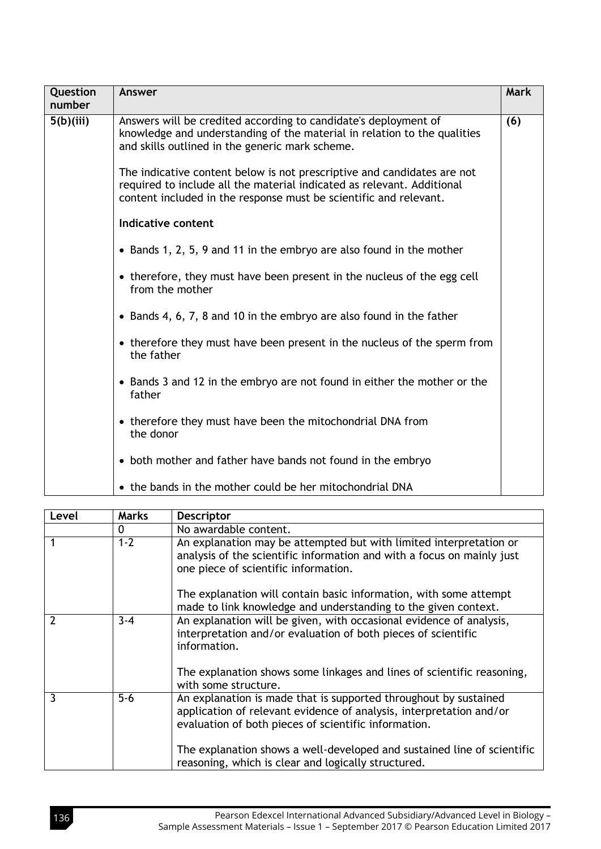| Question<br>number      | Answer                                                                                                                                                                                                                 | Mark |
|-------------------------|------------------------------------------------------------------------------------------------------------------------------------------------------------------------------------------------------------------------|------|
| $\overline{5(b)}$ (iii) | Answers will be credited according to candidate's deployment of<br>knowledge and understanding of the material in relation to the qualities<br>and skills outlined in the generic mark scheme.                         |      |
|                         | The indicative content below is not prescriptive and candidates are not<br>required to include all the material indicated as relevant. Additional<br>content included in the response must be scientific and relevant. |      |
|                         | Indicative content                                                                                                                                                                                                     |      |
|                         | • Bands 1, 2, 5, 9 and 11 in the embryo are also found in the mother                                                                                                                                                   |      |
|                         | • therefore, they must have been present in the nucleus of the egg cell<br>from the mother                                                                                                                             |      |
|                         | • Bands 4, 6, 7, 8 and 10 in the embryo are also found in the father                                                                                                                                                   |      |
|                         | • therefore they must have been present in the nucleus of the sperm from<br>the father                                                                                                                                 |      |
|                         | • Bands 3 and 12 in the embryo are not found in either the mother or the<br>father                                                                                                                                     |      |
|                         | • therefore they must have been the mitochondrial DNA from<br>the donor                                                                                                                                                |      |
|                         | • both mother and father have bands not found in the embryo                                                                                                                                                            |      |
|                         | • the bands in the mother could be her mitochondrial DNA                                                                                                                                                               |      |

| Level | <b>Marks</b> | <b>Descriptor</b>                                                                                                                                                                               |
|-------|--------------|-------------------------------------------------------------------------------------------------------------------------------------------------------------------------------------------------|
|       | 0            | No awardable content.                                                                                                                                                                           |
|       | $1 - 2$      | An explanation may be attempted but with limited interpretation or<br>analysis of the scientific information and with a focus on mainly just<br>one piece of scientific information.            |
|       |              | The explanation will contain basic information, with some attempt<br>made to link knowledge and understanding to the given context.                                                             |
|       | $3 - 4$      | An explanation will be given, with occasional evidence of analysis,<br>interpretation and/or evaluation of both pieces of scientific<br>information.                                            |
|       |              | The explanation shows some linkages and lines of scientific reasoning,<br>with some structure.                                                                                                  |
| 3     | $5 - 6$      | An explanation is made that is supported throughout by sustained<br>application of relevant evidence of analysis, interpretation and/or<br>evaluation of both pieces of scientific information. |
|       |              | The explanation shows a well-developed and sustained line of scientific<br>reasoning, which is clear and logically structured.                                                                  |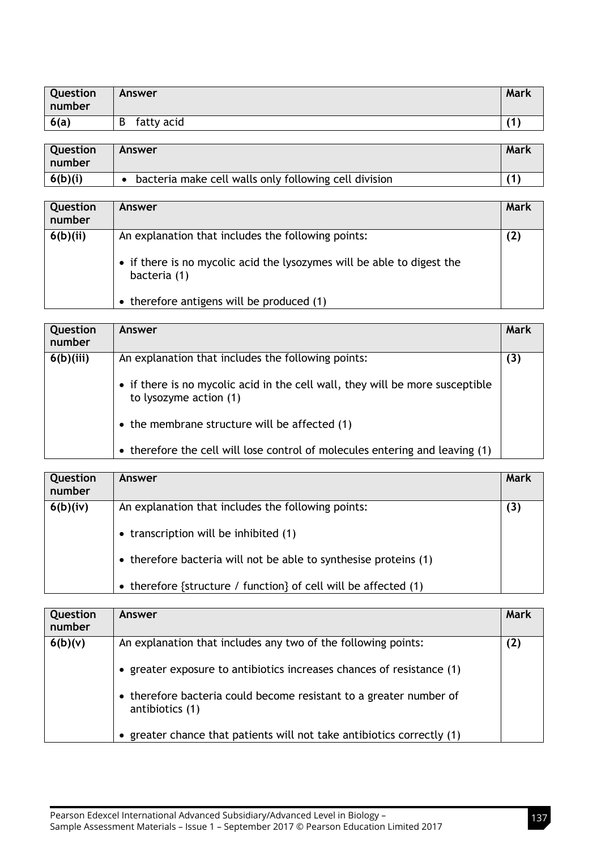| Question<br>number | <b>Answer</b>   | Mark       |
|--------------------|-----------------|------------|
| 6(a)               | fatty acid<br>B | $\sqrt{1}$ |

| <b>Question</b><br>l number | Answer                                                | Mark |
|-----------------------------|-------------------------------------------------------|------|
| 6(b)(i)                     | bacteria make cell walls only following cell division |      |

| Question<br>number | Answer                                                                                                                                       | Mark |
|--------------------|----------------------------------------------------------------------------------------------------------------------------------------------|------|
| 6(b)(ii)           | An explanation that includes the following points:<br>• if there is no mycolic acid the lysozymes will be able to digest the<br>bacteria (1) | (2)  |
|                    | • therefore antigens will be produced (1)                                                                                                    |      |

| Question<br>number | Answer                                                                                                  | Mark |
|--------------------|---------------------------------------------------------------------------------------------------------|------|
| 6(b)(iii)          | An explanation that includes the following points:                                                      | (3)  |
|                    | • if there is no mycolic acid in the cell wall, they will be more susceptible<br>to lysozyme action (1) |      |
|                    | $\bullet$ the membrane structure will be affected (1)                                                   |      |
|                    | • therefore the cell will lose control of molecules entering and leaving (1)                            |      |

| Question<br>number | <b>Answer</b>                                                                               | Mark |
|--------------------|---------------------------------------------------------------------------------------------|------|
| 6(b)(iv)           | An explanation that includes the following points:<br>• transcription will be inhibited (1) | (3)  |
|                    | • therefore bacteria will not be able to synthesise proteins (1)                            |      |
|                    | • therefore {structure / function} of cell will be affected $(1)$                           |      |

| Question<br>number | <b>Answer</b>                                                                                                                                                     | Mark |
|--------------------|-------------------------------------------------------------------------------------------------------------------------------------------------------------------|------|
| 6(b)(v)            | An explanation that includes any two of the following points:<br>• greater exposure to antibiotics increases chances of resistance $(1)$                          | (2)  |
|                    | • therefore bacteria could become resistant to a greater number of<br>antibiotics (1)<br>• greater chance that patients will not take antibiotics correctly $(1)$ |      |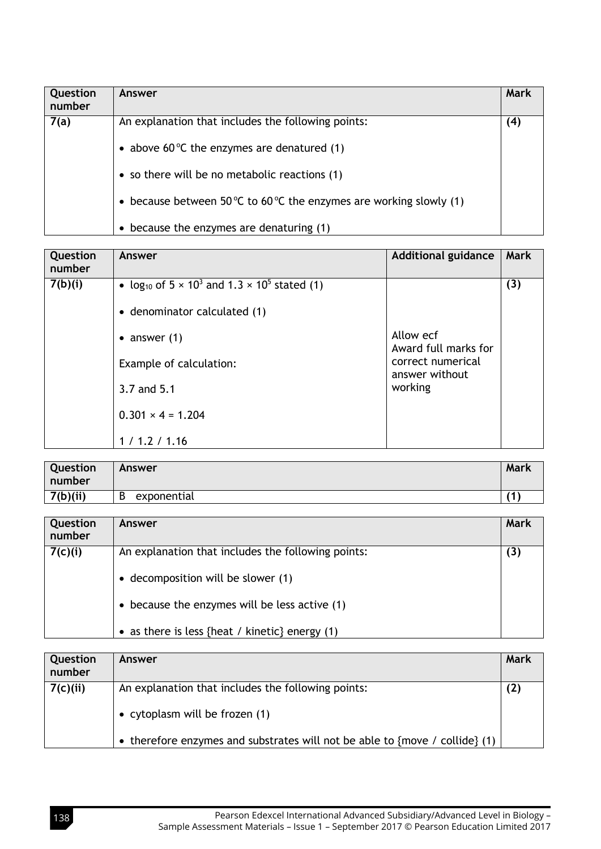| Question<br>number | Answer                                                              | Mark |
|--------------------|---------------------------------------------------------------------|------|
| 7(a)               | An explanation that includes the following points:                  | (4)  |
|                    | • above 60 $\degree$ C the enzymes are denatured (1)                |      |
|                    | • so there will be no metabolic reactions (1)                       |      |
|                    | • because between 50 °C to 60 °C the enzymes are working slowly (1) |      |
|                    | • because the enzymes are denaturing (1)                            |      |

| Question<br>number | Answer                                                                                                  | <b>Additional guidance</b>                     | <b>Mark</b> |
|--------------------|---------------------------------------------------------------------------------------------------------|------------------------------------------------|-------------|
| 7(b)(i)            | • log <sub>10</sub> of $5 \times 10^3$ and $1.3 \times 10^5$ stated (1)<br>• denominator calculated (1) |                                                | (3)         |
|                    | • answer $(1)$                                                                                          | Allow ecf<br>Award full marks for              |             |
|                    | Example of calculation:<br>3.7 and 5.1                                                                  | correct numerical<br>answer without<br>working |             |
|                    | $0.301 \times 4 = 1.204$                                                                                |                                                |             |
|                    | 1/1.2/1.16                                                                                              |                                                |             |

| Question<br>number | Answer           | Mark |
|--------------------|------------------|------|
| 7(b)(ii)           | exponential<br>D | ้ฯ   |

| Question<br>number | Answer                                             | <b>Mark</b> |
|--------------------|----------------------------------------------------|-------------|
| 7(c)(i)            | An explanation that includes the following points: | (3)         |
|                    | • decomposition will be slower (1)                 |             |
|                    | • because the enzymes will be less active $(1)$    |             |
|                    | • as there is less {heat / kinetic} energy $(1)$   |             |

| Question<br>number | Answer                                                                                 | Mark |
|--------------------|----------------------------------------------------------------------------------------|------|
| 7(c)(ii)           | An explanation that includes the following points:<br>• cytoplasm will be frozen $(1)$ | (2)  |
|                    | • therefore enzymes and substrates will not be able to {move / collide} (1)            |      |